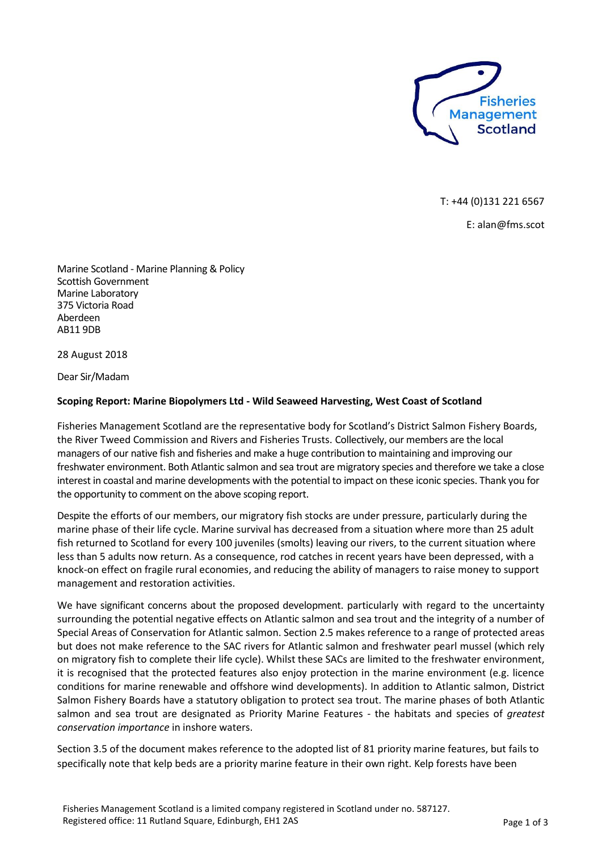

T: +44 (0)131 221 6567

E: alan@fms.scot

Marine Scotland - Marine Planning & Policy Scottish Government Marine Laboratory 375 Victoria Road Aberdeen AB11 9DB

28 August 2018

Dear Sir/Madam

## **Scoping Report: Marine Biopolymers Ltd - Wild Seaweed Harvesting, West Coast of Scotland**

Fisheries Management Scotland are the representative body for Scotland's District Salmon Fishery Boards, the River Tweed Commission and Rivers and Fisheries Trusts. Collectively, our members are the local managers of our native fish and fisheries and make a huge contribution to maintaining and improving our freshwater environment. Both Atlantic salmon and sea trout are migratory species and therefore we take a close interest in coastal and marine developments with the potential to impact on these iconic species. Thank you for the opportunity to comment on the above scoping report.

Despite the efforts of our members, our migratory fish stocks are under pressure, particularly during the marine phase of their life cycle. Marine survival has decreased from a situation where more than 25 adult fish returned to Scotland for every 100 juveniles (smolts) leaving our rivers, to the current situation where less than 5 adults now return. As a consequence, rod catches in recent years have been depressed, with a knock-on effect on fragile rural economies, and reducing the ability of managers to raise money to support management and restoration activities.

We have significant concerns about the proposed development. particularly with regard to the uncertainty surrounding the potential negative effects on Atlantic salmon and sea trout and the integrity of a number of Special Areas of Conservation for Atlantic salmon. Section 2.5 makes reference to a range of protected areas but does not make reference to the SAC rivers for Atlantic salmon and freshwater pearl mussel (which rely on migratory fish to complete their life cycle). Whilst these SACs are limited to the freshwater environment, it is recognised that the protected features also enjoy protection in the marine environment (e.g. licence conditions for marine renewable and offshore wind developments). In addition to Atlantic salmon, District Salmon Fishery Boards have a statutory obligation to protect sea trout. The marine phases of both Atlantic salmon and sea trout are designated as Priority Marine Features - the habitats and species of *greatest conservation importance* in inshore waters.

Section 3.5 of the document makes reference to the adopted list of 81 priority marine features, but fails to specifically note that kelp beds are a priority marine feature in their own right. Kelp forests have been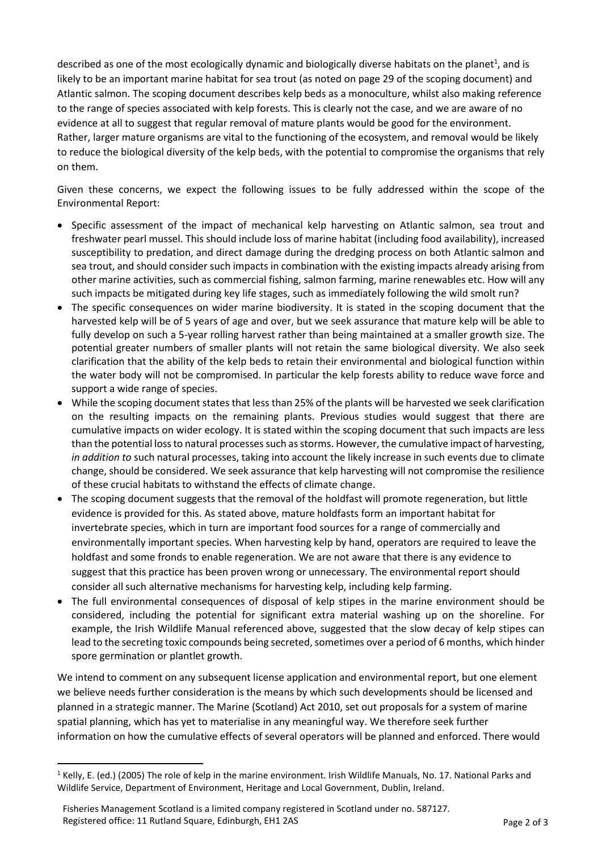described as one of the most ecologically dynamic and biologically diverse habitats on the planet<sup>1</sup>, and is likely to be an important marine habitat for sea trout (as noted on page 29 of the scoping document) and Atlantic salmon. The scoping document describes kelp beds as a monoculture, whilst also making reference to the range of species associated with kelp forests. This is clearly not the case, and we are aware of no evidence at all to suggest that regular removal of mature plants would be good for the environment. Rather, larger mature organisms are vital to the functioning of the ecosystem, and removal would be likely to reduce the biological diversity of the kelp beds, with the potential to compromise the organisms that rely on them.

Given these concerns, we expect the following issues to be fully addressed within the scope of the Environmental Report:

- Specific assessment of the impact of mechanical kelp harvesting on Atlantic salmon, sea trout and freshwater pearl mussel. This should include loss of marine habitat (including food availability), increased susceptibility to predation, and direct damage during the dredging process on both Atlantic salmon and sea trout, and should consider such impacts in combination with the existing impacts already arising from other marine activities, such as commercial fishing, salmon farming, marine renewables etc. How will any such impacts be mitigated during key life stages, such as immediately following the wild smolt run?
- The specific consequences on wider marine biodiversity. It is stated in the scoping document that the harvested kelp will be of 5 years of age and over, but we seek assurance that mature kelp will be able to fully develop on such a 5-year rolling harvest rather than being maintained at a smaller growth size. The potential greater numbers of smaller plants will not retain the same biological diversity. We also seek clarification that the ability of the kelp beds to retain their environmental and biological function within the water body will not be compromised. In particular the kelp forests ability to reduce wave force and support a wide range of species.
- While the scoping document states that less than 25% of the plants will be harvested we seek clarification on the resulting impacts on the remaining plants. Previous studies would suggest that there are cumulative impacts on wider ecology. It is stated within the scoping document that such impacts are less than the potential loss to natural processes such as storms. However, the cumulative impact of harvesting, *in addition to* such natural processes, taking into account the likely increase in such events due to climate change, should be considered. We seek assurance that kelp harvesting will not compromise the resilience of these crucial habitats to withstand the effects of climate change.
- The scoping document suggests that the removal of the holdfast will promote regeneration, but little evidence is provided for this. As stated above, mature holdfasts form an important habitat for invertebrate species, which in turn are important food sources for a range of commercially and environmentally important species. When harvesting kelp by hand, operators are required to leave the holdfast and some fronds to enable regeneration. We are not aware that there is any evidence to suggest that this practice has been proven wrong or unnecessary. The environmental report should consider all such alternative mechanisms for harvesting kelp, including kelp farming.
- The full environmental consequences of disposal of kelp stipes in the marine environment should be considered, including the potential for significant extra material washing up on the shoreline. For example, the Irish Wildlife Manual referenced above, suggested that the slow decay of kelp stipes can lead to the secreting toxic compounds being secreted, sometimes over a period of 6 months, which hinder spore germination or plantlet growth.

We intend to comment on any subsequent license application and environmental report, but one element we believe needs further consideration is the means by which such developments should be licensed and planned in a strategic manner. The Marine (Scotland) Act 2010, set out proposals for a system of marine spatial planning, which has yet to materialise in any meaningful way. We therefore seek further information on how the cumulative effects of several operators will be planned and enforced. There would

1

 $1$  Kelly, E. (ed.) (2005) The role of kelp in the marine environment. Irish Wildlife Manuals, No. 17. National Parks and Wildlife Service, Department of Environment, Heritage and Local Government, Dublin, Ireland.

Fisheries Management Scotland is a limited company registered in Scotland under no. 587127. Registered office: 11 Rutland Square, Edinburgh, EH1 2AS Page 2 of 3